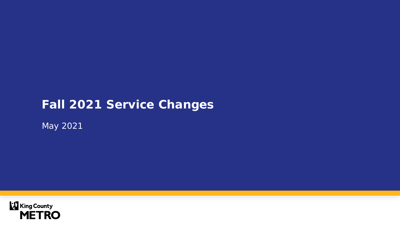## **Fall 2021 Service Changes**

May 2021

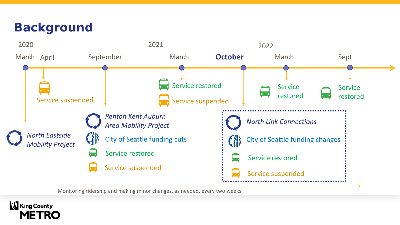## **Background**



Monitoring ridership and making minor changes, as needed, every two weeks

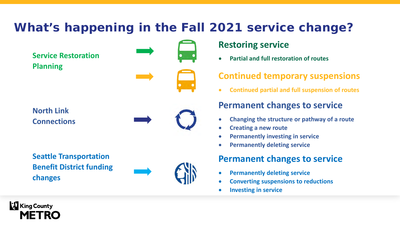# **What's happening in the Fall 2021 service change?**

**Service Restoration Planning**



**North Link Connections**



**Seattle Transportation Benefit District funding changes**



### **Restoring service**

• **Partial and full restoration of routes**

### **Continued temporary suspensions**

• **Continued partial and full suspension of routes**

### **Permanent changes to service**

- **Changing the structure or pathway of a route**
- **Creating a new route**
- **Permanently investing in service**
- **Permanently deleting service**

### **Permanent changes to service**

- **Permanently deleting service**
- **Converting suspensions to reductions**
- **Investing in service**

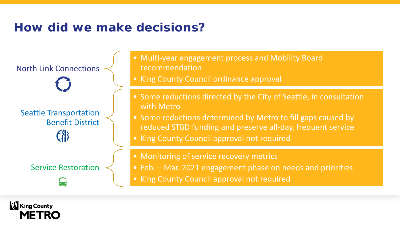# **How did we make decisions?**

North Link Connections Seattle Transportation Benefit District

Service Restoration

- Multi-year engagement process and Mobility Board recommendation
- King County Council ordinance approval
- Some reductions directed by the City of Seattle, in consultation with Metro
- Some reductions determined by Metro to fill gaps caused by reduced STBD funding and preserve all-day, frequent service
- King County Council approval not required
- Monitoring of service recovery metrics
- Feb. Mar. 2021 engagement phase on needs and priorities
- King County Council approval not required

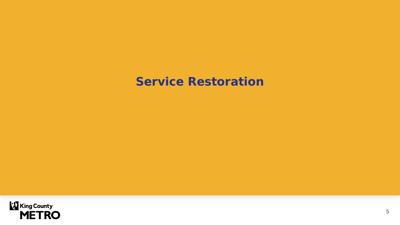## **Service Restoration**

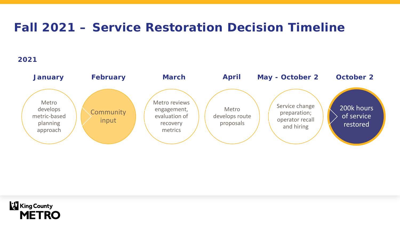## **Fall 2021 – Service Restoration Decision Timeline**

### **2021**



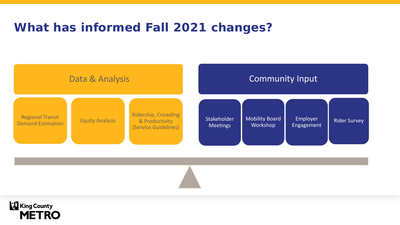## **What has informed Fall 2021 changes?**



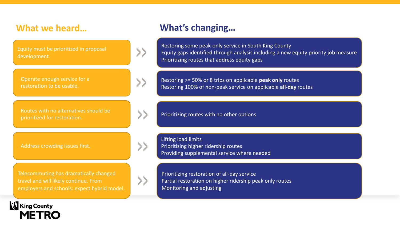Equity must be prioritized in proposal development.

Operate enough service for a restoration to be usable.

Routes with no alternatives should be Routes with no alternatives should be<br>prioritized for restoration.

Address crowding issues first.

**King County** 

**METRO** 

>>

 $\rightarrow$ 

Telecommuting has dramatically changed travel and will likely continue. From employers and schools: expect hybrid model.



### **What we heard… What's changing…**

Restoring some peak-only service in South King County Equity gaps identified through analysis including a new equity priority job measure Prioritizing routes that address equity gaps

Restoring >= 50% or 8 trips on applicable **peak only** routes Restoring 100% of non-peak service on applicable **all-day** routes

Lifting load limits Prioritizing higher ridership routes Providing supplemental service where needed

Prioritizing restoration of all-day service Partial restoration on higher ridership peak only routes Monitoring and adjusting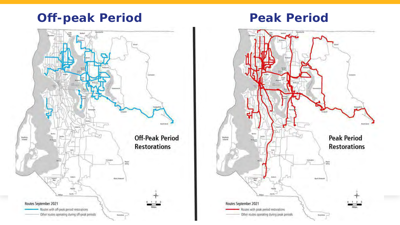## **Off-peak Period Peak Period**



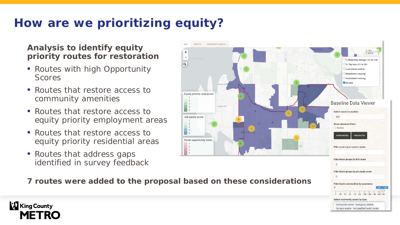# **How are we prioritizing equity?**

### **Analysis to identify equity priority routes for restoration**

- Routes with high Opportunity Scores
- Routes that restore access to community amenities
- Routes that restore access to equity priority employment areas
- Routes that restore access to equity priority residential areas
- Routes that address gaps identified in survey feedback



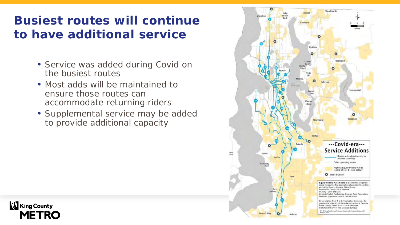# **Busiest routes will continue to have additional service**

- Service was added during Covid on the busiest routes
- Most adds will be maintained to ensure those routes can accommodate returning riders

**King County** 

**METRO** 

• Supplemental service may be added to provide additional capacity

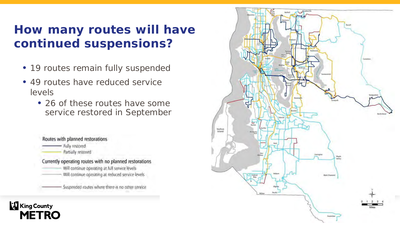# **How many routes will have continued suspensions?**

- 19 routes remain fully suspended
- 49 routes have reduced service levels
	- 26 of these routes have some service restored in September

Routes with planned restorations Fully restored Partially restored Currently operating routes with no planned restorations Will continue operating at full service levels Will continue operating at reduced service levels Suspended routes where there is no other service.

**King County** 

**METRO** 

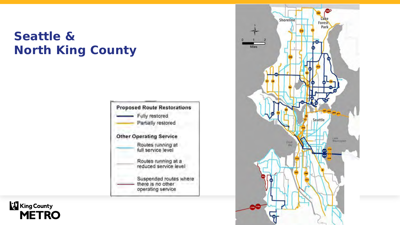# **Seattle & North King County**





**King County METRO**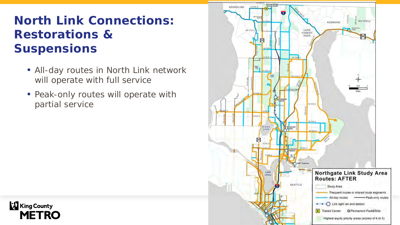# **North Link Connections: Restorations & Suspensions**

- All-day routes in North Link network will operate with full service
- Peak-only routes will operate with partial service

**& King County** 

**METRO**